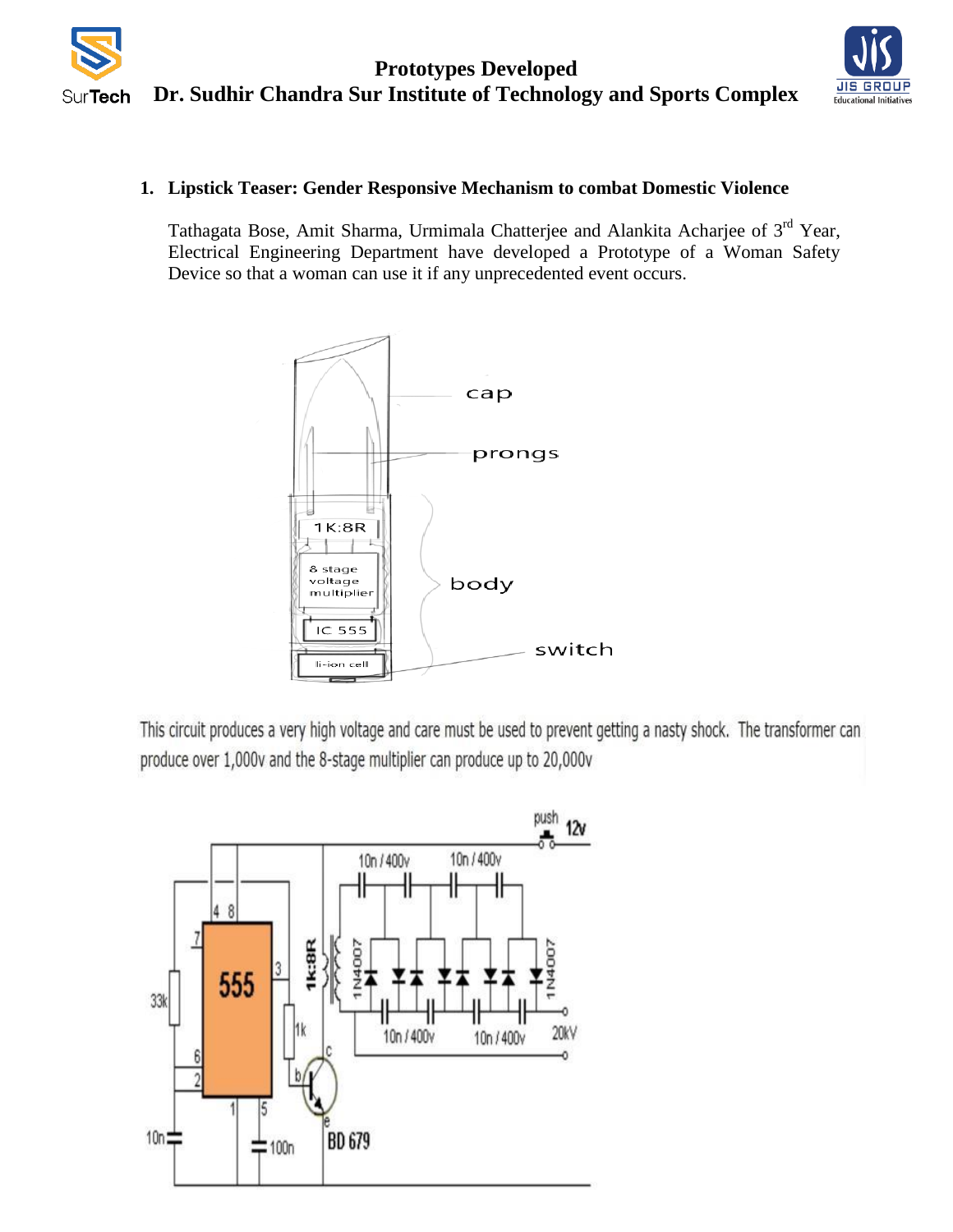**Prototypes Developed Dr. Sudhir Chandra Sur Institute of Technology and Sports Complex SurTech** 



## **1. Lipstick Teaser: Gender Responsive Mechanism to combat Domestic Violence**

Tathagata Bose, Amit Sharma, Urmimala Chatterjee and Alankita Acharjee of 3<sup>rd</sup> Year, Electrical Engineering Department have developed a Prototype of a Woman Safety Device so that a woman can use it if any unprecedented event occurs.



This circuit produces a very high voltage and care must be used to prevent getting a nasty shock. The transformer can produce over 1,000v and the 8-stage multiplier can produce up to 20,000v

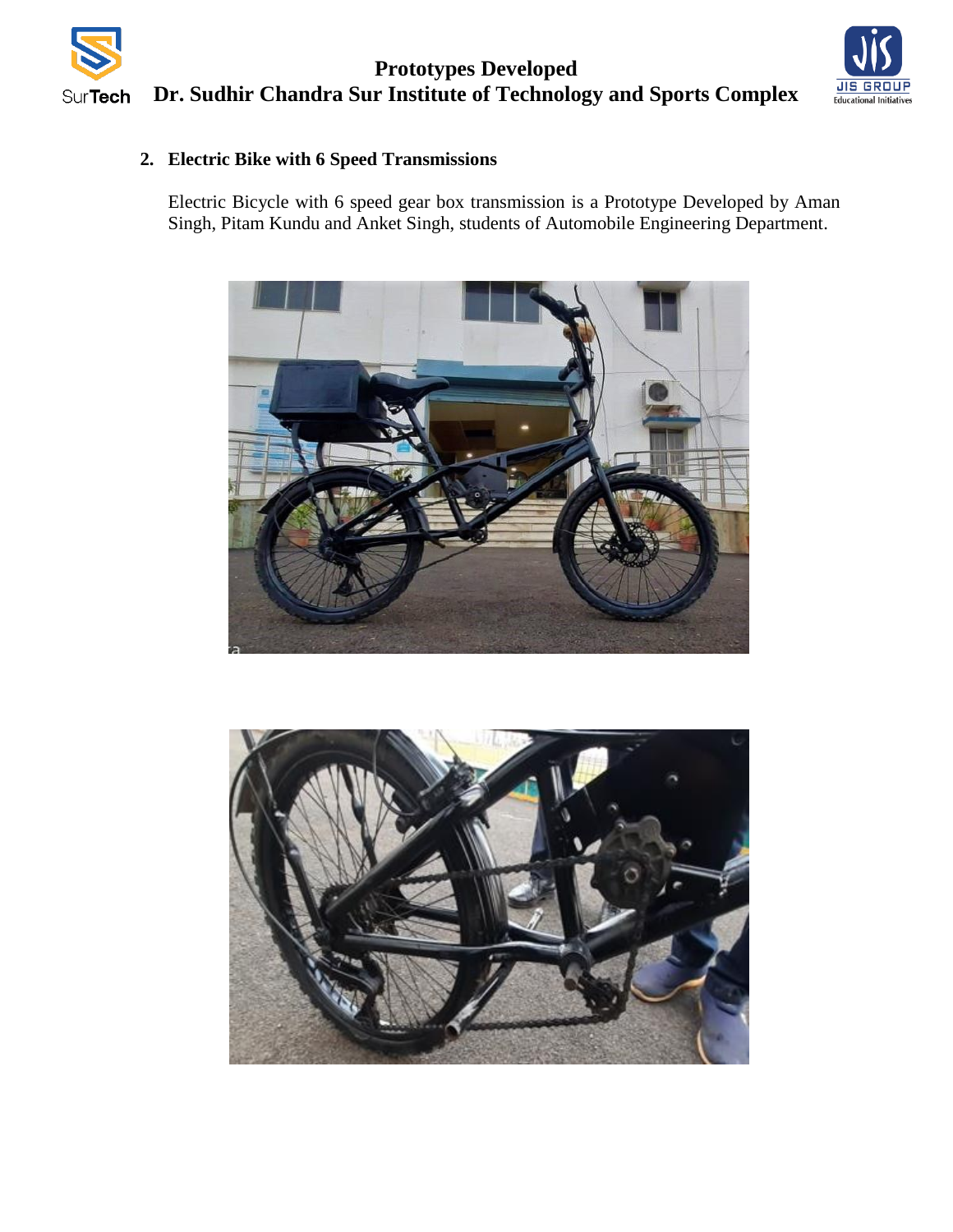



## **2. Electric Bike with 6 Speed Transmissions**

Electric Bicycle with 6 speed gear box transmission is a Prototype Developed by Aman Singh, Pitam Kundu and Anket Singh, students of Automobile Engineering Department.



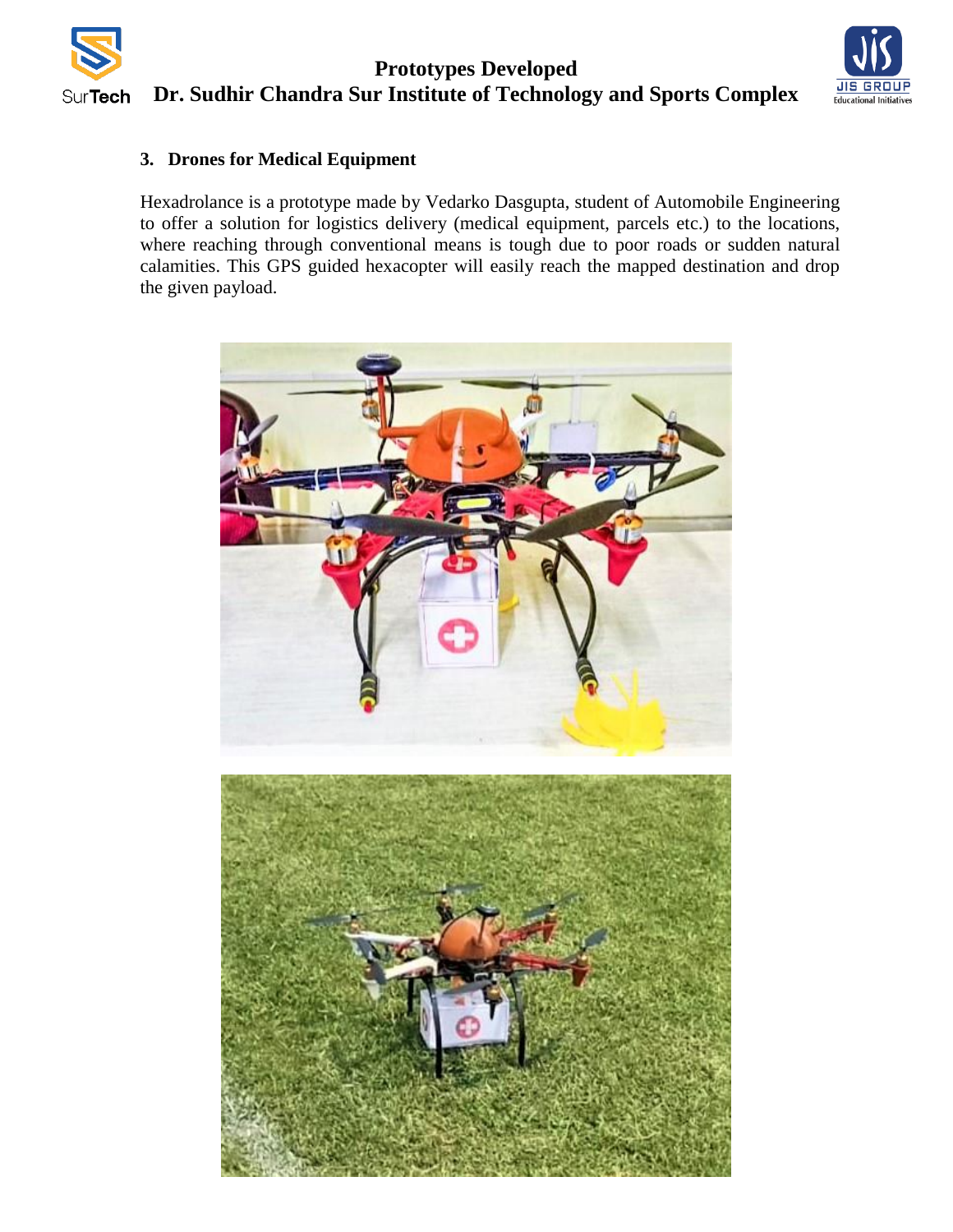

## **Prototypes Developed Dr. Sudhir Chandra Sur Institute of Technology and Sports Complex**



## **3. Drones for Medical Equipment**

Hexadrolance is a prototype made by Vedarko Dasgupta, student of Automobile Engineering to offer a solution for logistics delivery (medical equipment, parcels etc.) to the locations, where reaching through conventional means is tough due to poor roads or sudden natural calamities. This GPS guided hexacopter will easily reach the mapped destination and drop the given payload.

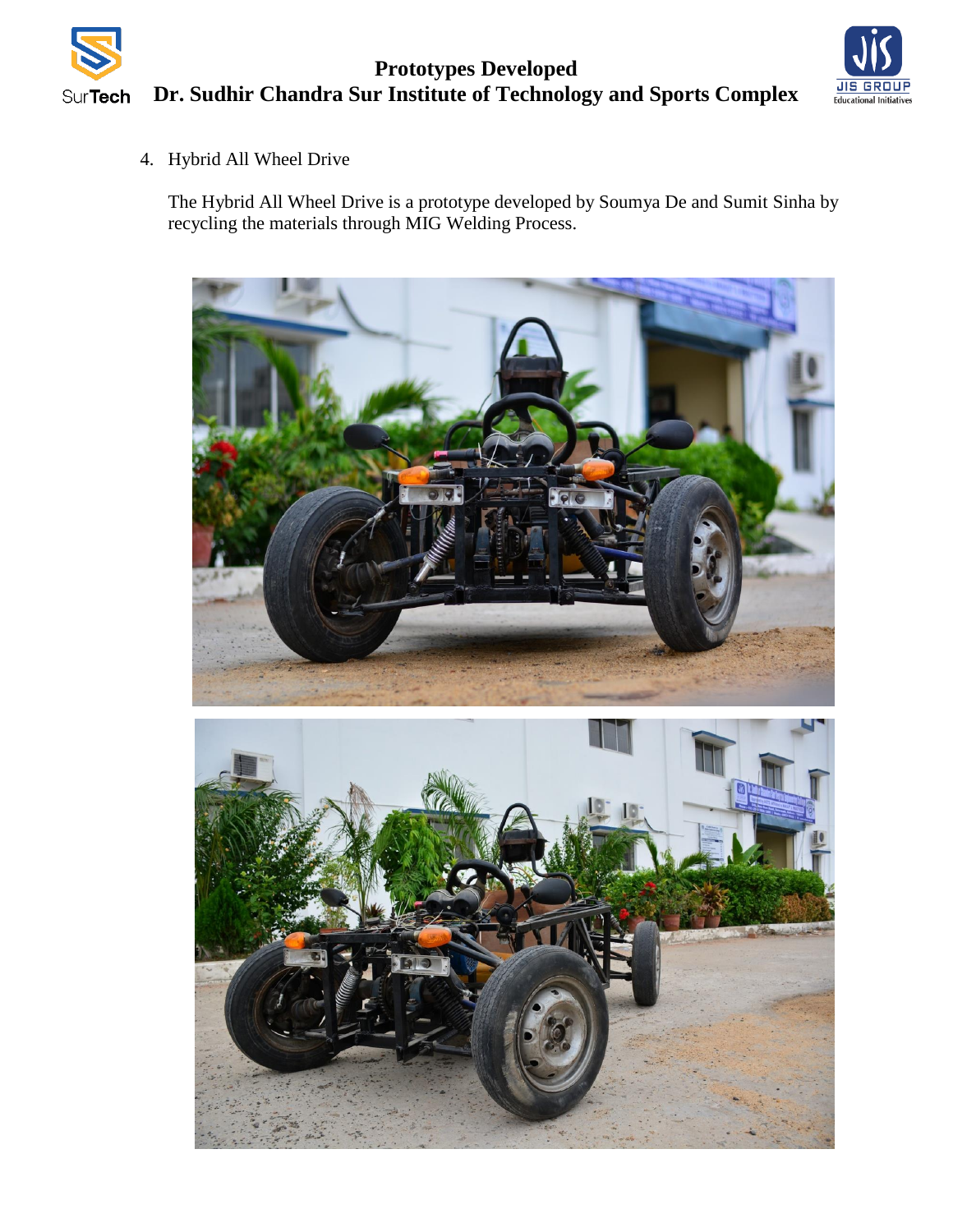



4. Hybrid All Wheel Drive

The Hybrid All Wheel Drive is a prototype developed by Soumya De and Sumit Sinha by recycling the materials through MIG Welding Process.